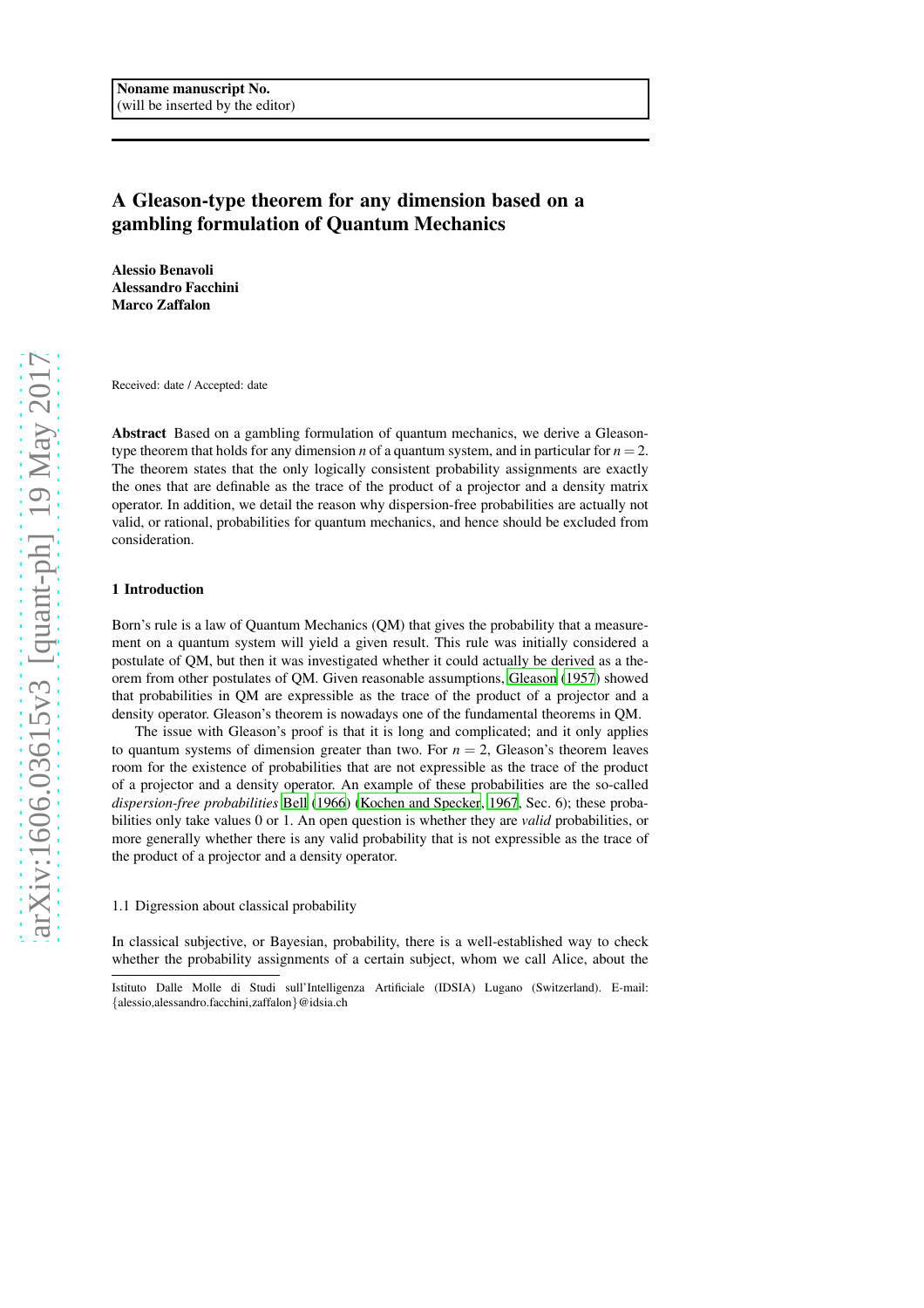# A Gleason-type theorem for any dimension based on a gambling formulation of Quantum Mechanics

Alessio Benavoli Alessandro Facchini Marco Zaffalon

Received: date / Accepted: date

Abstract Based on a gambling formulation of quantum mechanics, we derive a Gleasontype theorem that holds for any dimension *n* of a quantum system, and in particular for  $n = 2$ . The theorem states that the only logically consistent probability assignments are exactly the ones that are definable as the trace of the product of a projector and a density matrix operator. In addition, we detail the reason why dispersion-free probabilities are actually not valid, or rational, probabilities for quantum mechanics, and hence should be excluded from consideration.

## 1 Introduction

Born's rule is a law of Quantum Mechanics (QM) that gives the probability that a measurement on a quantum system will yield a given result. This rule was initially considered a postulate of QM, but then it was investigated whether it could actually be derived as a theorem from other postulates of QM. Given reasonable assumptions, [Gleason \(1957](#page-9-0)) showed that probabilities in QM are expressible as the trace of the product of a projector and a density operator. Gleason's theorem is nowadays one of the fundamental theorems in QM.

The issue with Gleason's proof is that it is long and complicated; and it only applies to quantum systems of dimension greater than two. For  $n = 2$ , Gleason's theorem leaves room for the existence of probabilities that are not expressible as the trace of the product of a projector and a density operator. An example of these probabilities are the so-called *dispersion-free probabilities* [Bell \(1966\)](#page-9-1) [\(Kochen and Specker, 1967,](#page-9-2) Sec. 6); these probabilities only take values 0 or 1. An open question is whether they are *valid* probabilities, or more generally whether there is any valid probability that is not expressible as the trace of the product of a projector and a density operator.

### <span id="page-0-0"></span>1.1 Digression about classical probability

In classical subjective, or Bayesian, probability, there is a well-established way to check whether the probability assignments of a certain subject, whom we call Alice, about the

Istituto Dalle Molle di Studi sull'Intelligenza Artificiale (IDSIA) Lugano (Switzerland). E-mail: {alessio,alessandro.facchini,zaffalon}@idsia.ch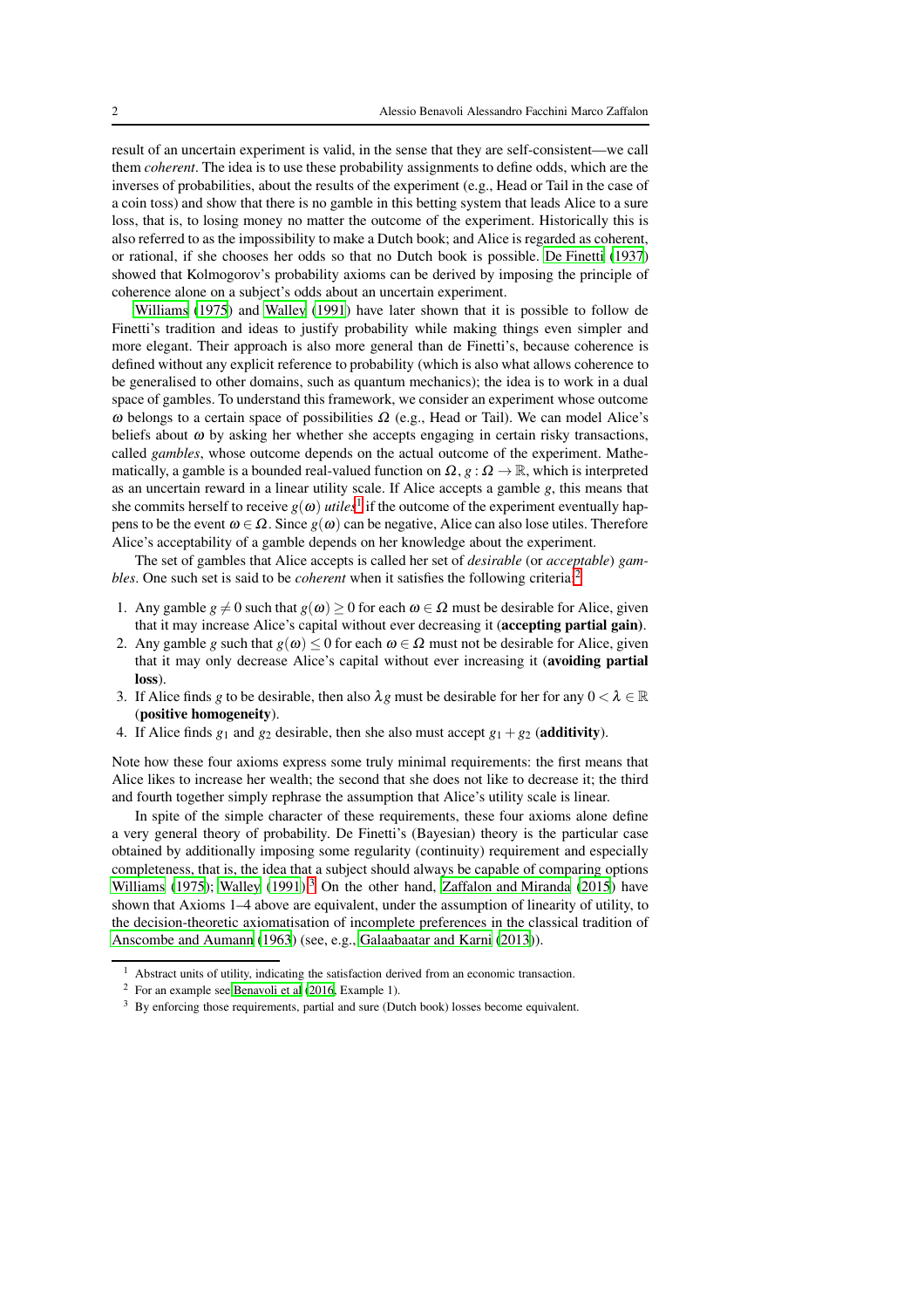result of an uncertain experiment is valid, in the sense that they are self-consistent—we call them *coherent*. The idea is to use these probability assignments to define odds, which are the inverses of probabilities, about the results of the experiment (e.g., Head or Tail in the case of a coin toss) and show that there is no gamble in this betting system that leads Alice to a sure loss, that is, to losing money no matter the outcome of the experiment. Historically this is also referred to as the impossibility to make a Dutch book; and Alice is regarded as coherent, or rational, if she chooses her odds so that no Dutch book is possible. [De Finetti](#page-9-3) [\(1937](#page-9-3)) showed that Kolmogorov's probability axioms can be derived by imposing the principle of coherence alone on a subject's odds about an uncertain experiment.

[Williams \(1975\)](#page-10-0) and [Walley \(1991\)](#page-9-4) have later shown that it is possible to follow de Finetti's tradition and ideas to justify probability while making things even simpler and more elegant. Their approach is also more general than de Finetti's, because coherence is defined without any explicit reference to probability (which is also what allows coherence to be generalised to other domains, such as quantum mechanics); the idea is to work in a dual space of gambles. To understand this framework, we consider an experiment whose outcome ω belongs to a certain space of possibilities  $\Omega$  (e.g., Head or Tail). We can model Alice's beliefs about  $\omega$  by asking her whether she accepts engaging in certain risky transactions, called *gambles*, whose outcome depends on the actual outcome of the experiment. Mathematically, a gamble is a bounded real-valued function on  $\Omega$ ,  $g : \Omega \to \mathbb{R}$ , which is interpreted as an uncertain reward in a linear utility scale. If Alice accepts a gamble *g*, this means that she commits herself to receive  $g(\omega)$  *utiles*<sup>[1](#page-1-0)</sup> if the outcome of the experiment eventually happens to be the event  $ω ∈ Ω$ . Since  $g(ω)$  can be negative, Alice can also lose utiles. Therefore Alice's acceptability of a gamble depends on her knowledge about the experiment.

The set of gambles that Alice accepts is called her set of *desirable* (or *acceptable*) *gambles*. One such set is said to be *coherent* when it satisfies the following criteria:<sup>[2](#page-1-1)</sup>

- 1. Any gamble  $g \neq 0$  such that  $g(\omega) \geq 0$  for each  $\omega \in \Omega$  must be desirable for Alice, given that it may increase Alice's capital without ever decreasing it (accepting partial gain).
- 2. Any gamble *g* such that  $g(\omega) < 0$  for each  $\omega \in \Omega$  must not be desirable for Alice, given that it may only decrease Alice's capital without ever increasing it (avoiding partial loss).
- 3. If Alice finds *g* to be desirable, then also  $\lambda g$  must be desirable for her for any  $0 < \lambda \in \mathbb{R}$ (positive homogeneity).
- 4. If Alice finds  $g_1$  and  $g_2$  desirable, then she also must accept  $g_1 + g_2$  (additivity).

Note how these four axioms express some truly minimal requirements: the first means that Alice likes to increase her wealth; the second that she does not like to decrease it; the third and fourth together simply rephrase the assumption that Alice's utility scale is linear.

In spite of the simple character of these requirements, these four axioms alone define a very general theory of probability. De Finetti's (Bayesian) theory is the particular case obtained by additionally imposing some regularity (continuity) requirement and especially completeness, that is, the idea that a subject should always be capable of comparing options [Williams \(1975](#page-10-0)); [Walley](#page-9-4) [\(1991](#page-9-4)).<sup>[3](#page-1-2)</sup> On the other hand, [Zaffalon and Miranda \(2015](#page-10-1)) have shown that Axioms 1–4 above are equivalent, under the assumption of linearity of utility, to the decision-theoretic axiomatisation of incomplete preferences in the classical tradition of [Anscombe and Aumann \(1963\)](#page-9-5) (see, e.g., [Galaabaatar and Karni \(2013](#page-9-6))).

<sup>&</sup>lt;sup>1</sup> Abstract units of utility, indicating the satisfaction derived from an economic transaction.

<span id="page-1-0"></span><sup>2</sup> For an example see [Benavoli et al \(2016](#page-9-7), Example 1).

<span id="page-1-2"></span><span id="page-1-1"></span><sup>3</sup> By enforcing those requirements, partial and sure (Dutch book) losses become equivalent.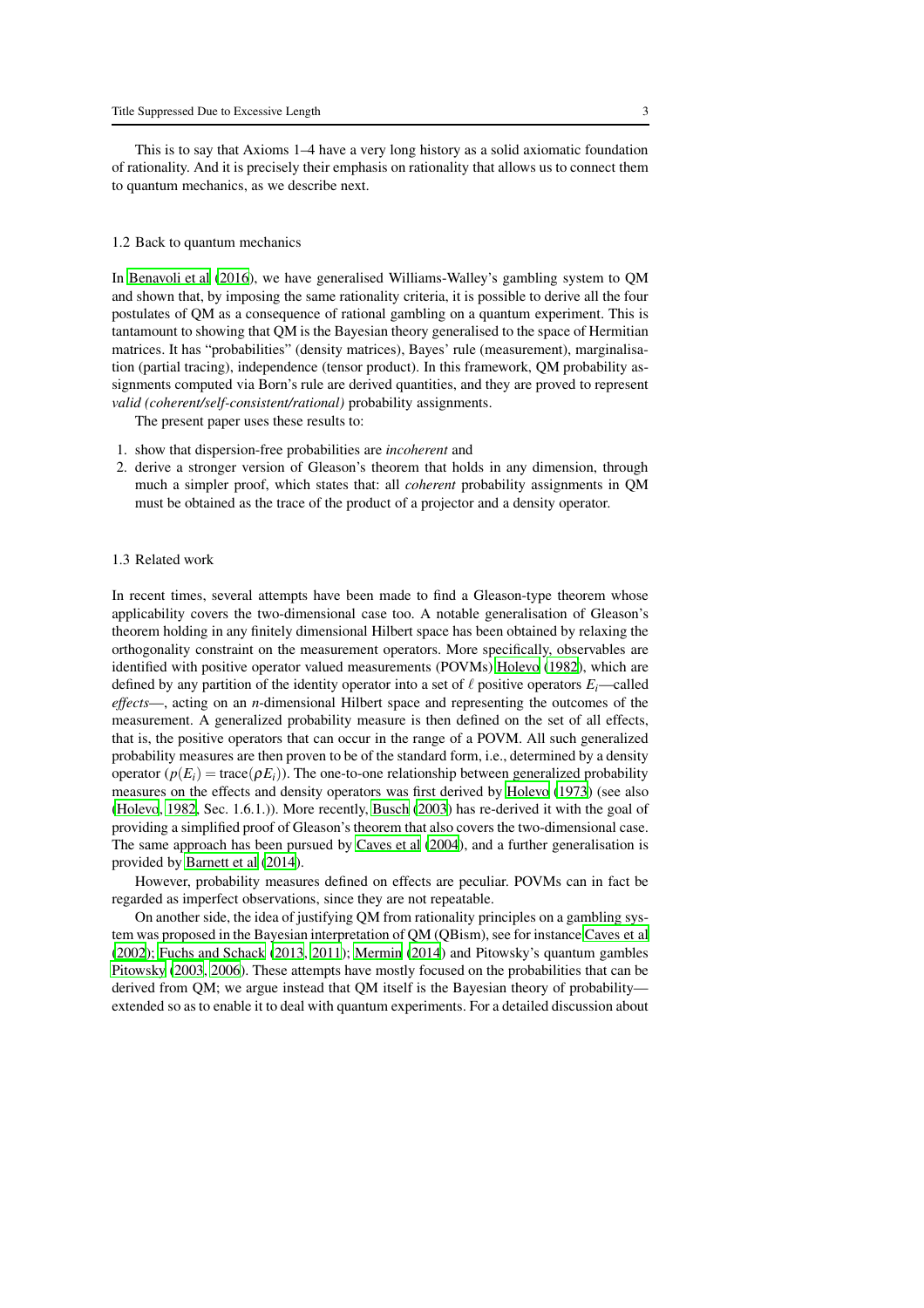This is to say that Axioms 1–4 have a very long history as a solid axiomatic foundation of rationality. And it is precisely their emphasis on rationality that allows us to connect them to quantum mechanics, as we describe next.

#### 1.2 Back to quantum mechanics

In [Benavoli et al \(2016](#page-9-7)), we have generalised Williams-Walley's gambling system to QM and shown that, by imposing the same rationality criteria, it is possible to derive all the four postulates of QM as a consequence of rational gambling on a quantum experiment. This is tantamount to showing that QM is the Bayesian theory generalised to the space of Hermitian matrices. It has "probabilities" (density matrices), Bayes' rule (measurement), marginalisation (partial tracing), independence (tensor product). In this framework, QM probability assignments computed via Born's rule are derived quantities, and they are proved to represent *valid (coherent/self-consistent/rational)* probability assignments.

The present paper uses these results to:

- 1. show that dispersion-free probabilities are *incoherent* and
- 2. derive a stronger version of Gleason's theorem that holds in any dimension, through much a simpler proof, which states that: all *coherent* probability assignments in QM must be obtained as the trace of the product of a projector and a density operator.

## 1.3 Related work

In recent times, several attempts have been made to find a Gleason-type theorem whose applicability covers the two-dimensional case too. A notable generalisation of Gleason's theorem holding in any finitely dimensional Hilbert space has been obtained by relaxing the orthogonality constraint on the measurement operators. More specifically, observables are identified with positive operator valued measurements (POVMs) [Holevo \(1982](#page-9-8)), which are defined by any partition of the identity operator into a set of  $\ell$  positive operators  $E_i$ —called *effects*—, acting on an *n*-dimensional Hilbert space and representing the outcomes of the measurement. A generalized probability measure is then defined on the set of all effects, that is, the positive operators that can occur in the range of a POVM. All such generalized probability measures are then proven to be of the standard form, i.e., determined by a density operator  $(p(E_i))$  = trace( $p(E_i)$ ). The one-to-one relationship between generalized probability measures on the effects and density operators was first derived by [Holevo](#page-9-9) [\(1973](#page-9-9)) (see also [\(Holevo](#page-9-8), [1982](#page-9-8), Sec. 1.6.1.)). More recently, [Busch \(2003](#page-9-10)) has re-derived it with the goal of providing a simplified proof of Gleason's theorem that also covers the two-dimensional case. The same approach has been pursued by [Caves et al](#page-9-11) [\(2004](#page-9-11)), and a further generalisation is provided by [Barnett et al \(2014](#page-9-12)).

However, probability measures defined on effects are peculiar. POVMs can in fact be regarded as imperfect observations, since they are not repeatable.

On another side, the idea of justifying QM from rationality principles on a gambling system was proposed in the Bayesian interpretation of QM (QBism), see for instance [Caves et al](#page-9-13) [\(2002](#page-9-13)); [Fuchs and Schack \(2013,](#page-9-14) [2011\)](#page-9-15); [Mermin \(2014\)](#page-9-16) and Pitowsky's quantum gambles [Pitowsky \(2003](#page-9-17), [2006\)](#page-9-18). These attempts have mostly focused on the probabilities that can be derived from QM; we argue instead that QM itself is the Bayesian theory of probability extended so as to enable it to deal with quantum experiments. For a detailed discussion about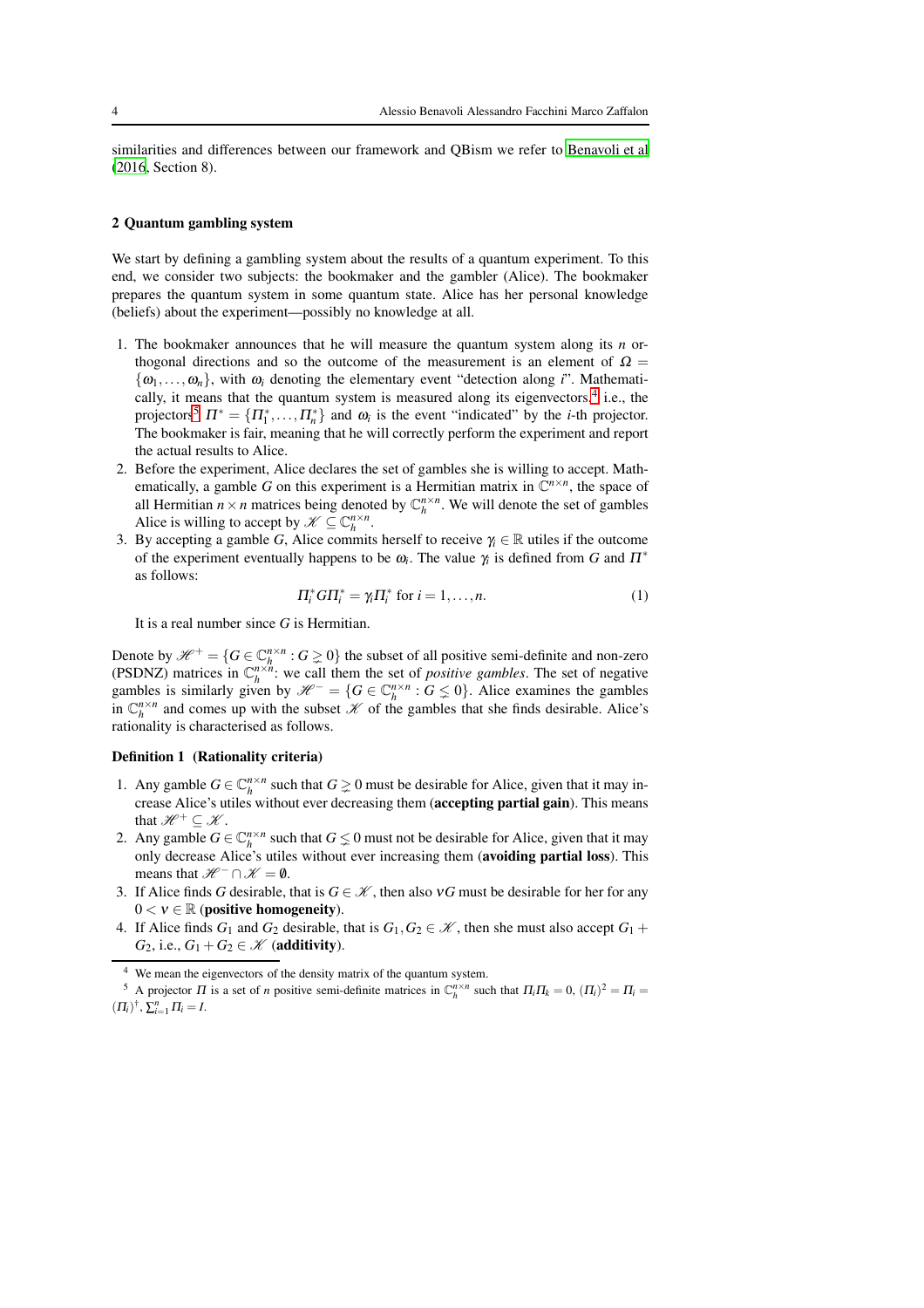similarities and differences between our framework and QBism we refer to [Benavoli et al](#page-9-7) [\(2016](#page-9-7), Section 8).

#### 2 Quantum gambling system

We start by defining a gambling system about the results of a quantum experiment. To this end, we consider two subjects: the bookmaker and the gambler (Alice). The bookmaker prepares the quantum system in some quantum state. Alice has her personal knowledge (beliefs) about the experiment—possibly no knowledge at all.

- 1. The bookmaker announces that he will measure the quantum system along its *n* orthogonal directions and so the outcome of the measurement is an element of  $\Omega =$  $\{\omega_1,\ldots,\omega_n\}$ , with  $\omega_i$  denoting the elementary event "detection along *i*". Mathemati-cally, it means that the quantum system is measured along its eigenvectors,<sup>[4](#page-3-0)</sup> i.e., the projectors<sup>[5](#page-3-1)</sup>  $\Pi^* = {\Pi^*_1, \dots, \Pi^*_n}$  and  $\omega_i$  is the event "indicated" by the *i*-th projector. The bookmaker is fair, meaning that he will correctly perform the experiment and report the actual results to Alice.
- 2. Before the experiment, Alice declares the set of gambles she is willing to accept. Mathematically, a gamble *G* on this experiment is a Hermitian matrix in  $\mathbb{C}^{n \times n}$ , the space of all Hermitian  $n \times n$  matrices being denoted by  $\mathbb{C}_h^{n \times n}$ . We will denote the set of gambles Alice is willing to accept by  $\mathscr{K} \subseteq \mathbb{C}_h^{n \times n}$ .
- 3. By accepting a gamble *G*, Alice commits herself to receive  $\gamma_i \in \mathbb{R}$  utiles if the outcome of the experiment eventually happens to be <sup>ω</sup>*<sup>i</sup>* . The value <sup>γ</sup>*<sup>i</sup>* is defined from *G* and <sup>Π</sup>∗ as follows:

<span id="page-3-2"></span>
$$
\Pi_i^* G \Pi_i^* = \gamma_i \Pi_i^* \text{ for } i = 1, \dots, n. \tag{1}
$$

It is a real number since *G* is Hermitian.

Denote by  $\mathcal{H}^+ = \{ G \in \mathbb{C}_h^{n \times n} : G \geq 0 \}$  the subset of all positive semi-definite and non-zero *h*(PSDNZ) matrices in  $C_h^{\pi \times n}$ : we call them the set of *positive gambles*. The set of negative gambles is similarly given by  $\mathcal{H}^- = \{ G \in \mathbb{C}_h^{n \times n} : G \leq 0 \}$ . Alice examines the gambles in  $\mathbb{C}_h^{n \times n}$  and comes up with the subset  $\mathcal X$  of the gambles that she finds desirable. Alice's rationality is characterised as follows.

#### Definition 1 (Rationality criteria)

- 1. Any gamble  $G \in \mathbb{C}_h^{n \times n}$  such that  $G \ge 0$  must be desirable for Alice, given that it may increase Alice's utiles without ever decreasing them (accepting partial gain). This means that  $\mathscr{H}^+ \subseteq \mathscr{K}$ .
- 2. Any gamble  $G \in \mathbb{C}_h^{n \times n}$  such that  $G \leq 0$  must not be desirable for Alice, given that it may only decrease Alice's utiles without ever increasing them (avoiding partial loss). This means that  $\mathscr{H}^- \cap \mathscr{K} = \emptyset$ .
- 3. If Alice finds *G* desirable, that is  $G \in \mathcal{K}$ , then also  $\gamma G$  must be desirable for her for any  $0 < v \in \mathbb{R}$  (positive homogeneity).
- 4. If Alice finds  $G_1$  and  $G_2$  desirable, that is  $G_1, G_2 \in \mathcal{K}$ , then she must also accept  $G_1 +$ *G*<sub>2</sub>, i.e.,  $G_1 + G_2 \in \mathcal{K}$  (additivity).

<span id="page-3-0"></span><sup>&</sup>lt;sup>4</sup> We mean the eigenvectors of the density matrix of the quantum system.

<span id="page-3-1"></span><sup>&</sup>lt;sup>5</sup> A projector  $\Pi$  is a set of *n* positive semi-definite matrices in  $\mathbb{C}_h^{n \times n}$  such that  $\Pi_i \Pi_k = 0$ ,  $(\Pi_i)^2 = \Pi_i =$  $(\Pi_i)^{\dagger}, \sum_{i=1}^n \Pi_i = I.$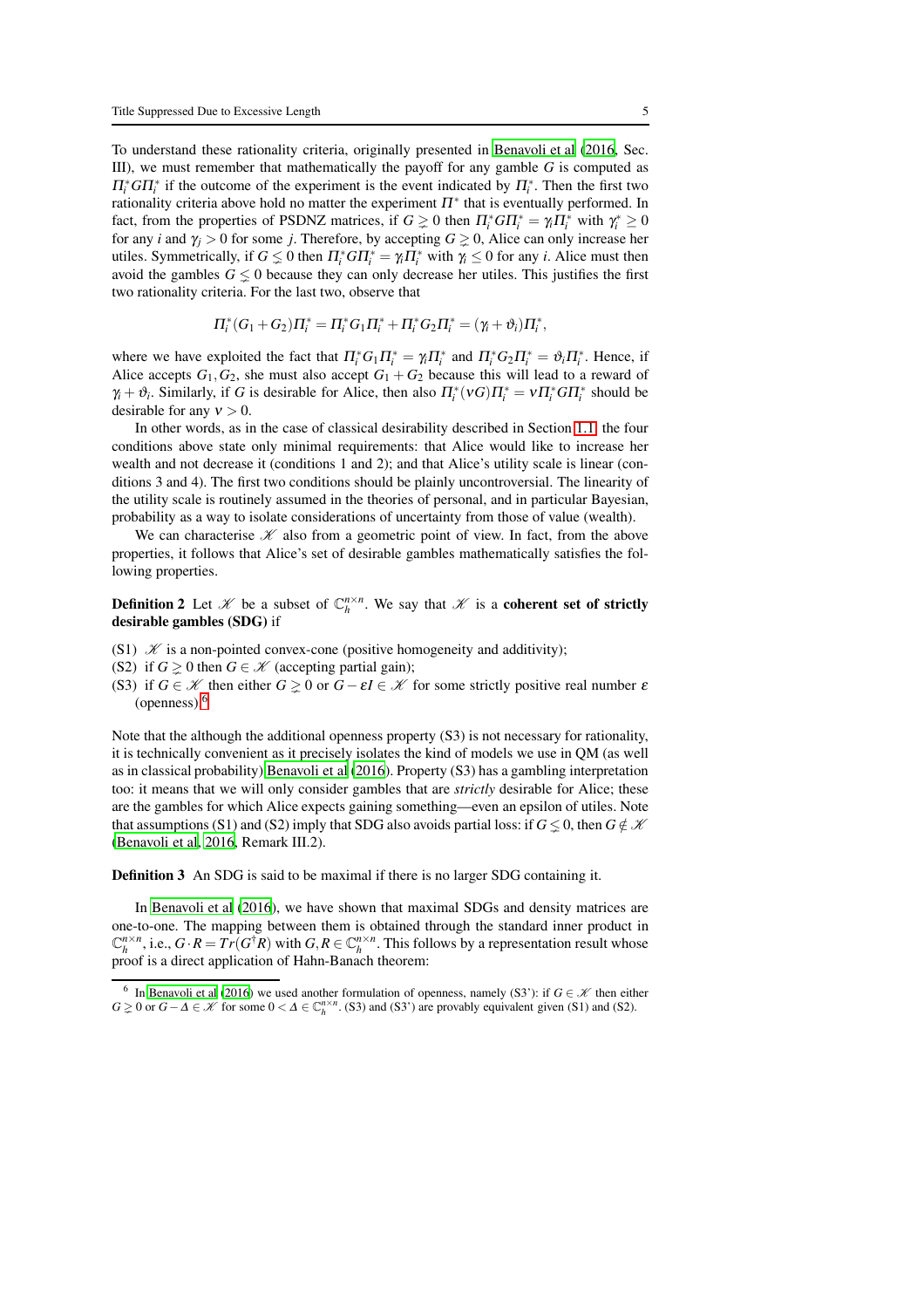To understand these rationality criteria, originally presented in [Benavoli et al \(2016,](#page-9-7) Sec. III), we must remember that mathematically the payoff for any gamble *G* is computed as  $\Pi_i^* G \Pi_i^*$  if the outcome of the experiment is the event indicated by  $\Pi_i^*$ . Then the first two rationality criteria above hold no matter the experiment  $\Pi^*$  that is eventually performed. In fact, from the properties of PSDNZ matrices, if  $G \ge 0$  then  $\Pi_i^* G \Pi_i^* = \gamma_i \Pi_i^*$  with  $\gamma_i^* \ge 0$ for any *i* and  $\gamma$  i > 0 for some *j*. Therefore, by accepting  $G \ge 0$ , Alice can only increase her utiles. Symmetrically, if  $G \leq 0$  then  $\Pi_i^* G \Pi_i^* = \gamma_i \Pi_i^*$  with  $\gamma_i \leq 0$  for any *i*. Alice must then avoid the gambles  $G \leq 0$  because they can only decrease her utiles. This justifies the first two rationality criteria. For the last two, observe that

$$
\Pi_i^*(G_1+G_2)\Pi_i^* = \Pi_i^*G_1\Pi_i^* + \Pi_i^*G_2\Pi_i^* = (\gamma_i + \vartheta_i)\Pi_i^*,
$$

where we have exploited the fact that  $\Pi_i^* G_1 \Pi_i^* = \gamma_i \Pi_i^*$  and  $\Pi_i^* G_2 \Pi_i^* = \vartheta_i \Pi_i^*$ . Hence, if Alice accepts  $G_1, G_2$ , she must also accept  $G_1 + G_2$  because this will lead to a reward of  $\gamma_i + \vartheta_i$ . Similarly, if *G* is desirable for Alice, then also  $\Pi_i^*(\nu G)\Pi_i^* = \nu \Pi_i^* G \Pi_i^*$  should be desirable for any  $v > 0$ .

In other words, as in the case of classical desirability described in Section [1.1,](#page-0-0) the four conditions above state only minimal requirements: that Alice would like to increase her wealth and not decrease it (conditions 1 and 2); and that Alice's utility scale is linear (conditions 3 and 4). The first two conditions should be plainly uncontroversial. The linearity of the utility scale is routinely assumed in the theories of personal, and in particular Bayesian, probability as a way to isolate considerations of uncertainty from those of value (wealth).

We can characterise  $K$  also from a geometric point of view. In fact, from the above properties, it follows that Alice's set of desirable gambles mathematically satisfies the following properties.

**Definition 2** Let  $\mathcal{K}$  be a subset of  $\mathbb{C}_h^{n \times n}$ . We say that  $\mathcal{K}$  is a coherent set of strictly desirable gambles (SDG) if

- (S1)  $\mathcal X$  is a non-pointed convex-cone (positive homogeneity and additivity);
- (S2) if  $G \ge 0$  then  $G \in \mathcal{K}$  (accepting partial gain);
- (S3) if  $G \in \mathcal{K}$  then either  $G \geq 0$  or  $G \varepsilon I \in \mathcal{K}$  for some strictly positive real number  $\varepsilon$ (openness).[6](#page-4-0)

Note that the although the additional openness property (S3) is not necessary for rationality, it is technically convenient as it precisely isolates the kind of models we use in QM (as well as in classical probability) [Benavoli et al \(2016](#page-9-7)). Property (S3) has a gambling interpretation too: it means that we will only consider gambles that are *strictly* desirable for Alice; these are the gambles for which Alice expects gaining something—even an epsilon of utiles. Note that assumptions (S1) and (S2) imply that SDG also avoids partial loss: if  $G \leq 0$ , then  $G \notin \mathcal{K}$ [\(Benavoli et al](#page-9-7), [2016,](#page-9-7) Remark III.2).

Definition 3 An SDG is said to be maximal if there is no larger SDG containing it.

In [Benavoli et al \(2016\)](#page-9-7), we have shown that maximal SDGs and density matrices are one-to-one. The mapping between them is obtained through the standard inner product in  $\mathbb{C}_h^{n \times n}$ , i.e.,  $G \cdot R = Tr(G^{\dagger}R)$  with  $G, R \in \mathbb{C}_h^{n \times n}$ . This follows by a representation result whose proof is a direct application of Hahn-Banach theorem:

<span id="page-4-1"></span><span id="page-4-0"></span><sup>&</sup>lt;sup>6</sup> In [Benavoli et al \(2016\)](#page-9-7) we used another formulation of openness, namely (S3'): if  $G \in \mathcal{K}$  then either  $G \geq 0$  or  $G - \Delta \in \mathcal{K}$  for some  $0 < \Delta \in \mathbb{C}_h^{n \times n}$ . (S3) and (S3') are provably equivalent given (S1) and (S2).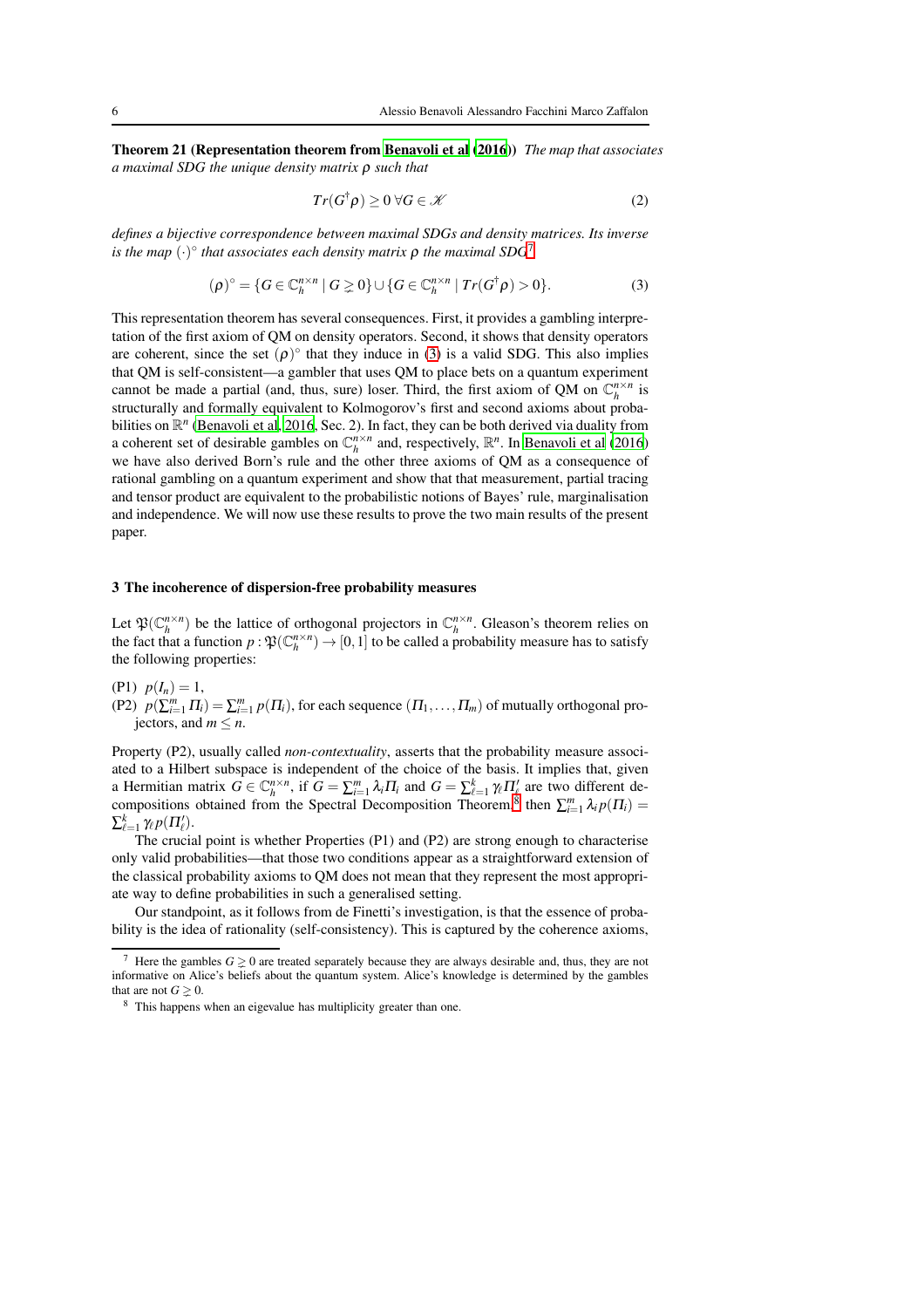Theorem 21 (Representation theorem from [Benavoli et al](#page-9-7) [\(2016](#page-9-7))) *The map that associates a maximal SDG the unique density matrix* ρ *such that*

$$
Tr(G^{\dagger}\rho) \ge 0 \,\forall G \in \mathscr{K} \tag{2}
$$

*defines a bijective correspondence between maximal SDGs and density matrices. Its inverse is the map* (·) ◦ *that associates each density matrix* <sup>ρ</sup> *the maximal SDG*[7](#page-5-0)

<span id="page-5-1"></span>
$$
(\rho)^{\circ} = \{ G \in \mathbb{C}_h^{n \times n} \mid G \geq 0 \} \cup \{ G \in \mathbb{C}_h^{n \times n} \mid Tr(G^{\dagger} \rho) > 0 \}.
$$
 (3)

This representation theorem has several consequences. First, it provides a gambling interpretation of the first axiom of QM on density operators. Second, it shows that density operators are coherent, since the set  $(\rho)^\circ$  that they induce in [\(3\)](#page-5-1) is a valid SDG. This also implies that QM is self-consistent—a gambler that uses QM to place bets on a quantum experiment cannot be made a partial (and, thus, sure) loser. Third, the first axiom of QM on  $\mathbb{C}_h^{n \times n}$  is structurally and formally equivalent to Kolmogorov's first and second axioms about probabilities on  $\mathbb{R}^n$  [\(Benavoli et al](#page-9-7), [2016](#page-9-7), Sec. 2). In fact, they can be both derived via duality from a coherent set of desirable gambles on  $\mathbb{C}_h^{n \times n}$  and, respectively,  $\mathbb{R}^n$ . In [Benavoli et al](#page-9-7) [\(2016](#page-9-7)) we have also derived Born's rule and the other three axioms of QM as a consequence of rational gambling on a quantum experiment and show that that measurement, partial tracing and tensor product are equivalent to the probabilistic notions of Bayes' rule, marginalisation and independence. We will now use these results to prove the two main results of the present paper.

## 3 The incoherence of dispersion-free probability measures

Let  $\mathfrak{P}(\mathbb{C}_h^{n \times n})$  be the lattice of orthogonal projectors in  $\mathbb{C}_h^{n \times n}$ . Gleason's theorem relies on the fact that a function  $p : \mathfrak{P}(\mathbb{C}_h^{n \times n}) \to [0,1]$  to be called a probability measure has to satisfy the following properties:

(P1)  $p(I_n) = 1$ ,

(P2)  $p(\sum_{i=1}^{m} \Pi_i) = \sum_{i=1}^{m} p(\Pi_i)$ , for each sequence  $(\Pi_1, \dots, \Pi_m)$  of mutually orthogonal projectors, and  $m \leq n$ .

Property (P2), usually called *non-contextuality*, asserts that the probability measure associated to a Hilbert subspace is independent of the choice of the basis. It implies that, given a Hermitian matrix  $G \in \mathbb{C}_h^{n \times n}$ , if  $G = \sum_{i=1}^m \lambda_i \Pi_i$  and  $G = \sum_{\ell=1}^k \gamma_\ell \Pi'_\ell$  are two different de-compositions obtained from the Spectral Decomposition Theorem,<sup>[8](#page-5-2)</sup> then  $\sum_{i=1}^{m} \lambda_i p(\Pi_i) =$  $\sum_{\ell=1}^k \gamma_\ell p(\Pi'_\ell).$ 

The crucial point is whether Properties (P1) and (P2) are strong enough to characterise only valid probabilities—that those two conditions appear as a straightforward extension of the classical probability axioms to QM does not mean that they represent the most appropriate way to define probabilities in such a generalised setting.

Our standpoint, as it follows from de Finetti's investigation, is that the essence of probability is the idea of rationality (self-consistency). This is captured by the coherence axioms,

<span id="page-5-0"></span>Here the gambles  $G \geq 0$  are treated separately because they are always desirable and, thus, they are not informative on Alice's beliefs about the quantum system. Alice's knowledge is determined by the gambles that are not  $G \geq 0$ .

<span id="page-5-2"></span><sup>8</sup> This happens when an eigevalue has multiplicity greater than one.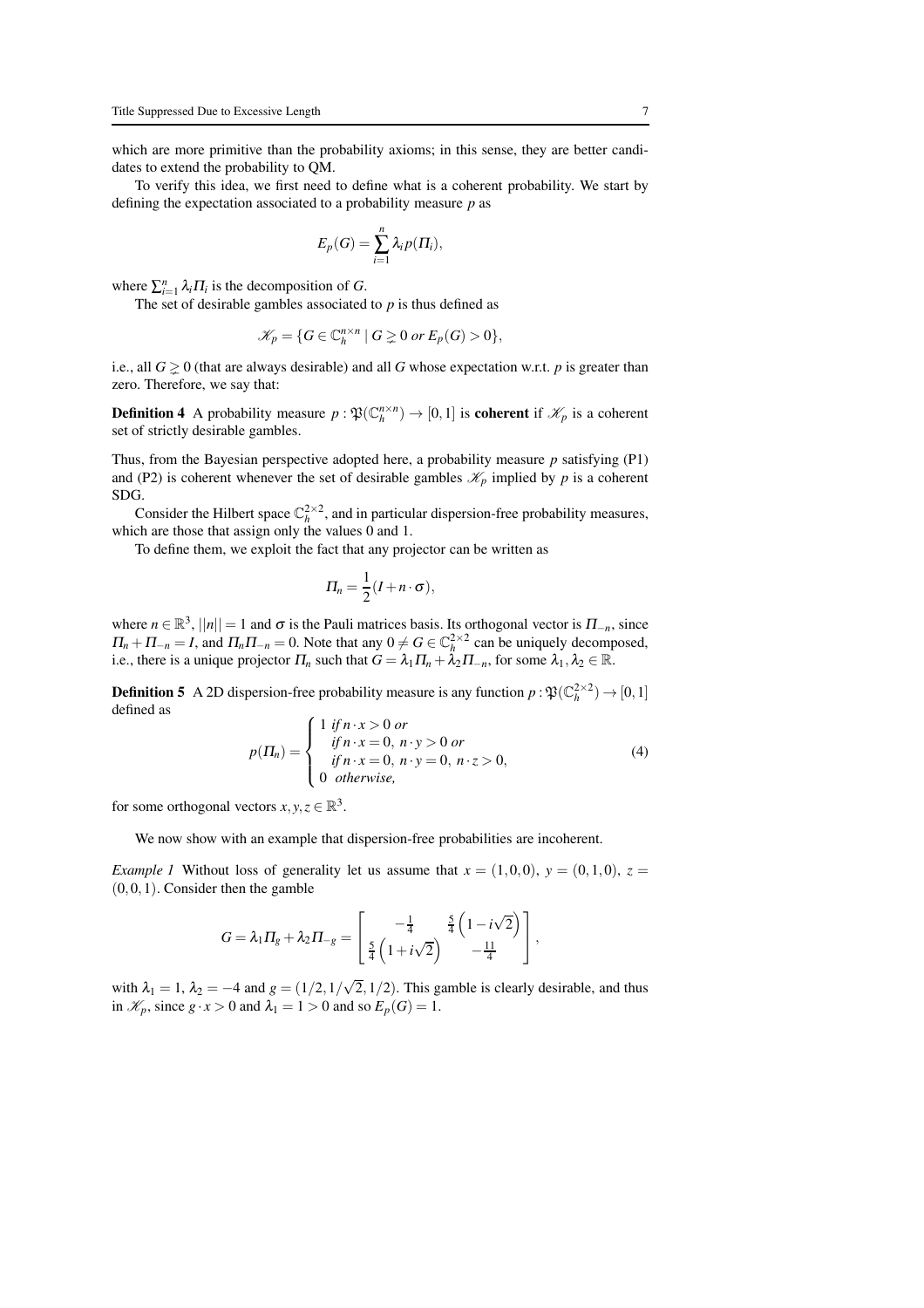which are more primitive than the probability axioms; in this sense, they are better candidates to extend the probability to QM.

To verify this idea, we first need to define what is a coherent probability. We start by defining the expectation associated to a probability measure *p* as

$$
E_p(G) = \sum_{i=1}^n \lambda_i p(\Pi_i),
$$

where  $\sum_{i=1}^{n} \lambda_i \Pi_i$  is the decomposition of *G*.

The set of desirable gambles associated to *p* is thus defined as

$$
\mathscr{K}_p = \{ G \in \mathbb{C}_h^{n \times n} \mid G \geq 0 \text{ or } E_p(G) > 0 \},
$$

i.e., all  $G \ge 0$  (that are always desirable) and all G whose expectation w.r.t. p is greater than zero. Therefore, we say that:

**Definition 4** A probability measure  $p : \mathfrak{P}(\mathbb{C}_h^{n \times n}) \to [0,1]$  is **coherent** if  $\mathcal{K}_p$  is a coherent set of strictly desirable gambles.

Thus, from the Bayesian perspective adopted here, a probability measure *p* satisfying (P1) and (P2) is coherent whenever the set of desirable gambles  $\mathcal{K}_p$  implied by *p* is a coherent SDG.

Consider the Hilbert space  $\mathbb{C}_h^{2\times 2}$ , and in particular dispersion-free probability measures, which are those that assign only the values 0 and 1.

To define them, we exploit the fact that any projector can be written as

$$
\Pi_n=\frac{1}{2}(I+n\cdot\sigma),
$$

where  $n \in \mathbb{R}^3$ ,  $||n|| = 1$  and  $\sigma$  is the Pauli matrices basis. Its orthogonal vector is  $\Pi_{-n}$ , since  $\Pi_n + \Pi_{-n} = I$ , and  $\Pi_n \Pi_{-n} = 0$ . Note that any  $0 \neq G \in \mathbb{C}_h^{2 \times 2}$  can be uniquely decomposed, i.e., there is a unique projector  $\Pi_n$  such that  $G = \lambda_1 \Pi_n + \lambda_2 \Pi_{-n}$ , for some  $\lambda_1, \lambda_2 \in \mathbb{R}$ .

**Definition 5** A 2D dispersion-free probability measure is any function  $p : \mathfrak{P}(\mathbb{C}_h^{2 \times 2}) \to [0,1]$ defined as  $\lambda$ 

$$
p(\Pi_n) = \begin{cases} 1 & \text{if } n \cdot x > 0 \text{ or} \\ & \text{if } n \cdot x = 0, \ n \cdot y > 0 \text{ or} \\ & \text{if } n \cdot x = 0, \ n \cdot y = 0, \ n \cdot z > 0, \\ 0 & \text{otherwise,} \end{cases}
$$
(4)

for some orthogonal vectors  $x, y, z \in \mathbb{R}^3$ .

We now show with an example that dispersion-free probabilities are incoherent.

*Example 1* Without loss of generality let us assume that  $x = (1,0,0)$ ,  $y = (0,1,0)$ ,  $z =$  $(0,0,1)$ . Consider then the gamble

$$
G = \lambda_1 \Pi_g + \lambda_2 \Pi_{-g} = \begin{bmatrix} -\frac{1}{4} & \frac{5}{4} \left( 1 - i \sqrt{2} \right) \\ \frac{5}{4} \left( 1 + i \sqrt{2} \right) & -\frac{11}{4} \end{bmatrix},
$$

with  $\lambda_1 = 1$ ,  $\lambda_2 = -4$  and  $g = (1/2, 1/\sqrt{2}, 1/2)$ . This gamble is clearly desirable, and thus in  $\mathcal{K}_p$ , since  $g \cdot x > 0$  and  $\lambda_1 = 1 > 0$  and so  $E_p(G) = 1$ .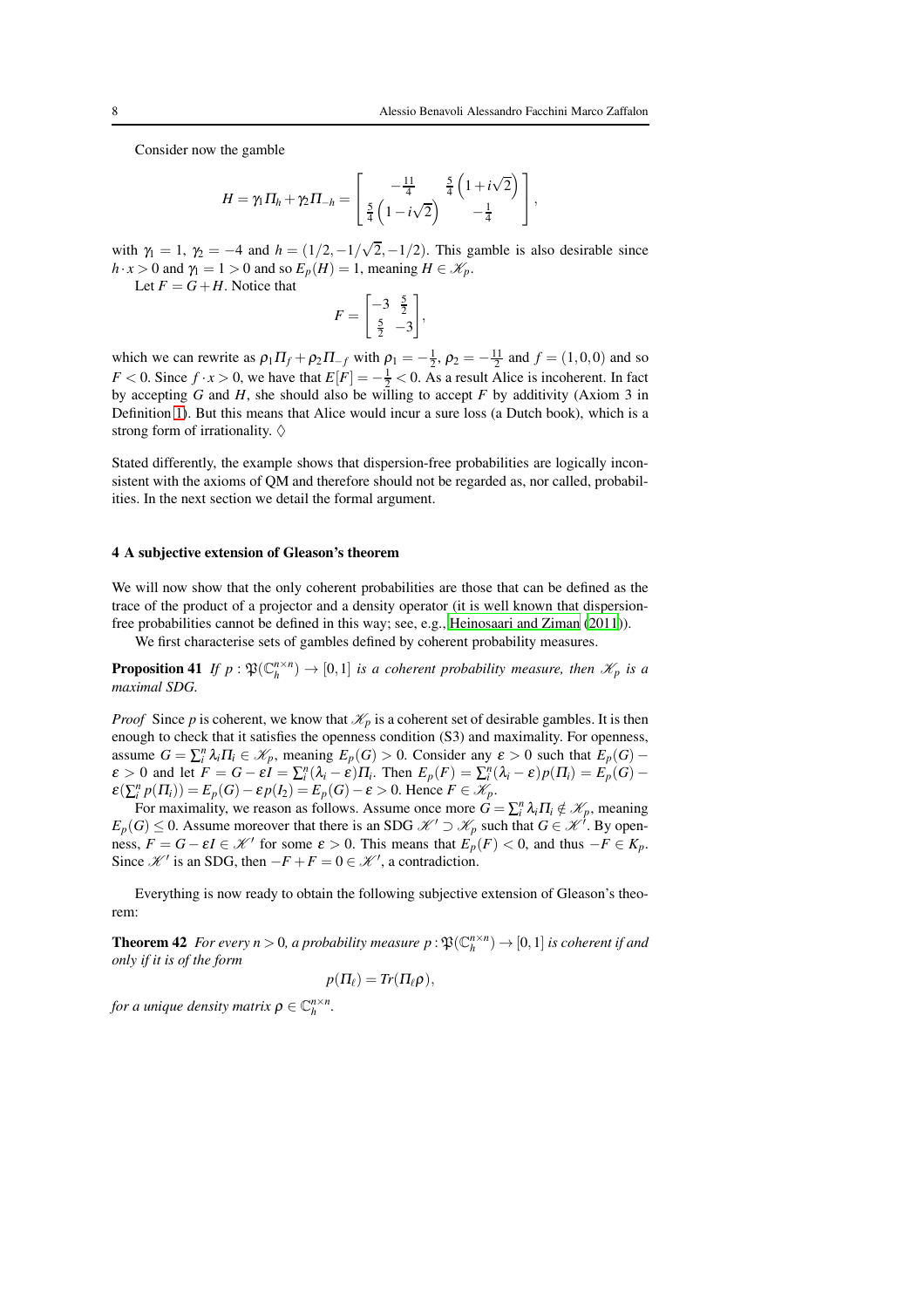Consider now the gamble

$$
H = \gamma_1 \Pi_h + \gamma_2 \Pi_{-h} = \begin{bmatrix} -\frac{11}{4} & \frac{5}{4} \left( 1 + i \sqrt{2} \right) \\ \frac{5}{4} \left( 1 - i \sqrt{2} \right) & -\frac{1}{4} \end{bmatrix},
$$

with  $\gamma_1 = 1$ ,  $\gamma_2 = -4$  and  $h = (1/2, -1/\sqrt{2}, -1/2)$ . This gamble is also desirable since  $h \cdot x > 0$  and  $\gamma_1 = 1 > 0$  and so  $E_p(H) = 1$ , meaning  $H \in \mathcal{K}_p$ .

Let  $F = G + H$ . Notice that

<span id="page-7-0"></span>
$$
F = \begin{bmatrix} -3 & \frac{5}{2} \\ \frac{5}{2} & -3 \end{bmatrix},
$$

which we can rewrite as  $\rho_1 \Pi_f + \rho_2 \Pi_{-f}$  with  $\rho_1 = -\frac{1}{2}$ ,  $\rho_2 = -\frac{11}{2}$  and  $f = (1,0,0)$  and so *F* < 0. Since  $f \cdot x > 0$ , we have that  $E[F] = -\frac{1}{2} < 0$ . As a result Alice is incoherent. In fact by accepting *G* and *H*, she should also be willing to accept *F* by additivity (Axiom 3 in Definition [1\)](#page-3-2). But this means that Alice would incur a sure loss (a Dutch book), which is a strong form of irrationality.  $\diamond$ 

Stated differently, the example shows that dispersion-free probabilities are logically inconsistent with the axioms of QM and therefore should not be regarded as, nor called, probabilities. In the next section we detail the formal argument.

#### 4 A subjective extension of Gleason's theorem

We will now show that the only coherent probabilities are those that can be defined as the trace of the product of a projector and a density operator (it is well known that dispersionfree probabilities cannot be defined in this way; see, e.g., [Heinosaari and Ziman \(2011](#page-9-19))).

We first characterise sets of gambles defined by coherent probability measures.

**Proposition 41** If  $p : \mathfrak{P}(\mathbb{C}_h^{n \times n}) \to [0,1]$  is a coherent probability measure, then  $\mathcal{K}_p$  is a *maximal SDG.*

*Proof* Since *p* is coherent, we know that  $\mathcal{K}_p$  is a coherent set of desirable gambles. It is then enough to check that it satisfies the openness condition (S3) and maximality. For openness, assume  $G = \sum_i^n \lambda_i \Pi_i \in \mathcal{K}_p$ , meaning  $E_p(G) > 0$ . Consider any  $\varepsilon > 0$  such that  $E_p(G)$  –  $\varepsilon > 0$  and let  $F = G - \varepsilon I = \sum_{i}^{n} (\lambda_i - \varepsilon) \prod_i$ . Then  $E_p(F) = \sum_{i}^{n} (\lambda_i - \varepsilon) p(\Pi_i) = E_p(G) - \sum_{i}^{n} (\lambda_i - \varepsilon) p(\Pi_i)$  $\mathcal{E}(\sum_{i}^{n} p(\Pi_{i})) = E_{p}(G) - \mathcal{E}p(I_{2}) = E_{p}(G) - \mathcal{E} > 0$ . Hence  $F \in \mathcal{K}_{p}$ .

For maximality, we reason as follows. Assume once more  $G = \sum_i^n \lambda_i \Pi_i \notin \mathcal{K}_p$ , meaning  $E_p(G) \leq 0$ . Assume moreover that there is an SDG  $\mathcal{K}' \supset \mathcal{K}_p$  such that  $G \in \mathcal{K}'$ . By openness,  $F = G - \varepsilon I \in \mathcal{K}'$  for some  $\varepsilon > 0$ . This means that  $E_p(F) < 0$ , and thus  $-F \in K_p$ . Since  $\mathcal{K}'$  is an SDG, then  $-F + F = 0 \in \mathcal{K}'$ , a contradiction.

Everything is now ready to obtain the following subjective extension of Gleason's theorem:

**Theorem 42** For every  $n > 0$ , a probability measure  $p : \mathfrak{P}(\mathbb{C}_h^{n \times n}) \to [0,1]$  is coherent if and *only if it is of the form*

$$
p(\Pi_{\ell})=Tr(\Pi_{\ell}\rho),
$$

*for a unique density matrix*  $\rho \in \mathbb{C}_h^{n \times n}$ .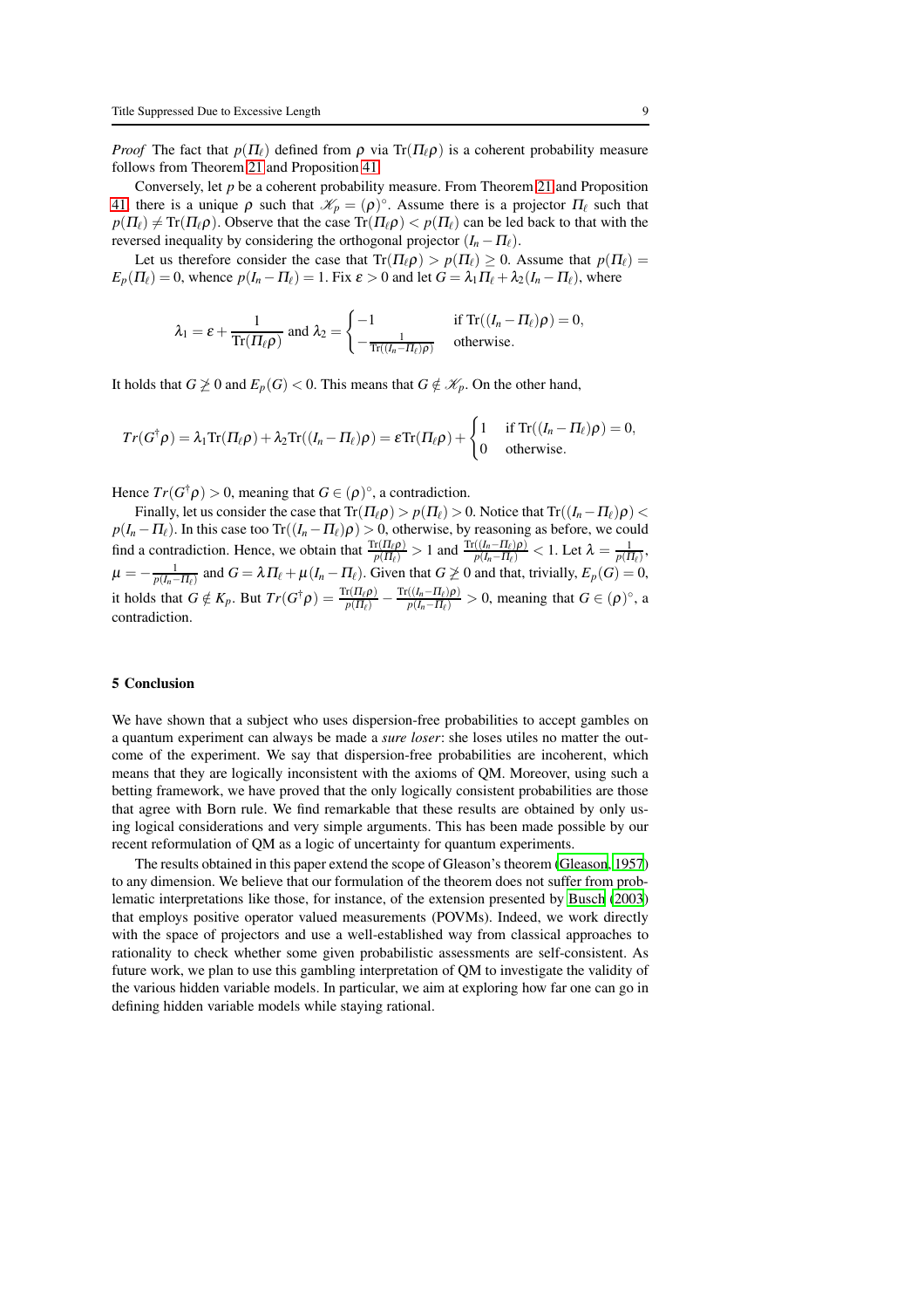*Proof* The fact that  $p(\Pi_\ell)$  defined from  $\rho$  via Tr( $\Pi_\ell \rho$ ) is a coherent probability measure follows from Theorem [21](#page-4-1) and Proposition [41.](#page-7-0)

Conversely, let *p* be a coherent probability measure. From Theorem [21](#page-4-1) and Proposition [41,](#page-7-0) there is a unique  $\rho$  such that  $\mathcal{K}_p = (\rho)^\circ$ . Assume there is a projector  $\Pi_\ell$  such that  $p(\Pi_\ell) \neq \text{Tr}(\Pi_\ell \rho)$ . Observe that the case  $\text{Tr}(\Pi_\ell \rho) < p(\Pi_\ell)$  can be led back to that with the reversed inequality by considering the orthogonal projector  $(I_n - \Pi_\ell)$ .

Let us therefore consider the case that  $Tr(\Pi_{\ell}\rho) > p(\Pi_{\ell}) \geq 0$ . Assume that  $p(\Pi_{\ell}) =$  $E_p(\Pi_\ell) = 0$ , whence  $p(I_n - \Pi_\ell) = 1$ . Fix  $\varepsilon > 0$  and let  $G = \lambda_1 \Pi_\ell + \lambda_2 (I_n - \Pi_\ell)$ , where

$$
\lambda_1 = \varepsilon + \frac{1}{\text{Tr}(\Pi_\ell \rho)} \text{ and } \lambda_2 = \begin{cases} -1 & \text{if } \text{Tr}((I_n - \Pi_\ell)\rho) = 0, \\ -\frac{1}{\text{Tr}((I_n - \Pi_\ell)\rho)} & \text{otherwise.} \end{cases}
$$

It holds that  $G \not\geq 0$  and  $E_p(G) < 0$ . This means that  $G \notin \mathcal{K}_p$ . On the other hand,

$$
Tr(G^{\dagger}\rho) = \lambda_1 \text{Tr}( \Pi_{\ell}\rho) + \lambda_2 \text{Tr}((I_n - \Pi_{\ell})\rho) = \varepsilon \text{Tr}( \Pi_{\ell}\rho) + \begin{cases} 1 & \text{if } \text{Tr}((I_n - \Pi_{\ell})\rho) = 0, \\ 0 & \text{otherwise.} \end{cases}
$$

Hence  $Tr(G^{\dagger}\rho) > 0$ , meaning that  $G \in (\rho)$ °, a contradiction.

Finally, let us consider the case that  $Tr(\Pi_{\ell}\rho) > p(\Pi_{\ell}) > 0$ . Notice that  $Tr((I_n - \Pi_{\ell})\rho) <$  $p(I_n - \Pi_\ell)$ . In this case too Tr( $(I_n - \Pi_\ell)\rho$ ) > 0, otherwise, by reasoning as before, we could find a contradiction. Hence, we obtain that  $\frac{\text{Tr}(\Pi_{\ell} \rho)}{p(\Pi_{\ell})} > 1$  and  $\frac{\text{Tr}((I_n - \Pi_{\ell})\rho)}{p(I_n - \Pi_{\ell})}$  $\frac{((I_n - \Pi_\ell)\rho)}{p(I_n - \Pi_\ell)} < 1$ . Let  $\lambda = \frac{1}{p(\Pi_\ell)},$  $\mu = -\frac{1}{p(I_n - II_\ell)}$  and  $G = \lambda \prod_\ell + \mu(I_n - II_\ell)$ . Given that  $G \not\geq 0$  and that, trivially,  $E_p(G) = 0$ , it holds that  $G \notin K_p$ . But  $Tr(G^{\dagger} \rho) = \frac{Tr(\Pi_{\ell} \rho)}{p(\Pi_{\ell})} - \frac{Tr((I_n - \Pi_{\ell})\rho)}{p(I_n - \Pi_{\ell})}$  $\frac{((I_n - II_\ell)p)}{p(I_n - II_\ell)} > 0$ , meaning that  $G \in (\rho)^\circ$ , a contradiction.

#### 5 Conclusion

We have shown that a subject who uses dispersion-free probabilities to accept gambles on a quantum experiment can always be made a *sure loser*: she loses utiles no matter the outcome of the experiment. We say that dispersion-free probabilities are incoherent, which means that they are logically inconsistent with the axioms of QM. Moreover, using such a betting framework, we have proved that the only logically consistent probabilities are those that agree with Born rule. We find remarkable that these results are obtained by only using logical considerations and very simple arguments. This has been made possible by our recent reformulation of QM as a logic of uncertainty for quantum experiments.

The results obtained in this paper extend the scope of Gleason's theorem [\(Gleason](#page-9-0), [1957](#page-9-0)) to any dimension. We believe that our formulation of the theorem does not suffer from problematic interpretations like those, for instance, of the extension presented by [Busch](#page-9-10) [\(2003](#page-9-10)) that employs positive operator valued measurements (POVMs). Indeed, we work directly with the space of projectors and use a well-established way from classical approaches to rationality to check whether some given probabilistic assessments are self-consistent. As future work, we plan to use this gambling interpretation of QM to investigate the validity of the various hidden variable models. In particular, we aim at exploring how far one can go in defining hidden variable models while staying rational.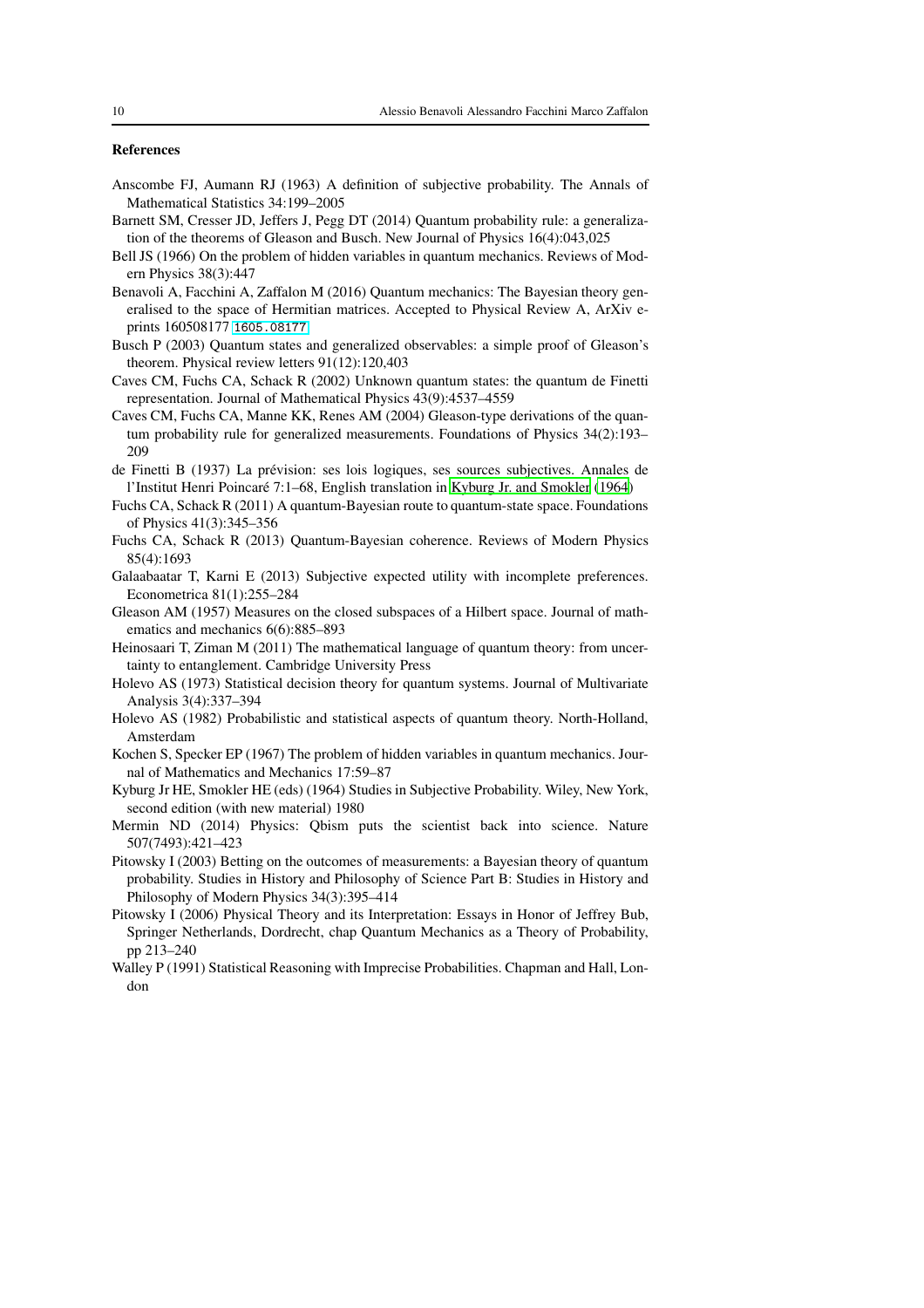# References

- <span id="page-9-5"></span>Anscombe FJ, Aumann RJ (1963) A definition of subjective probability. The Annals of Mathematical Statistics 34:199–2005
- <span id="page-9-12"></span>Barnett SM, Cresser JD, Jeffers J, Pegg DT (2014) Quantum probability rule: a generalization of the theorems of Gleason and Busch. New Journal of Physics 16(4):043,025
- <span id="page-9-1"></span>Bell JS (1966) On the problem of hidden variables in quantum mechanics. Reviews of Modern Physics 38(3):447
- <span id="page-9-7"></span>Benavoli A, Facchini A, Zaffalon M (2016) Quantum mechanics: The Bayesian theory generalised to the space of Hermitian matrices. Accepted to Physical Review A, ArXiv eprints 160508177 <1605.08177>
- <span id="page-9-10"></span>Busch P (2003) Quantum states and generalized observables: a simple proof of Gleason's theorem. Physical review letters 91(12):120,403
- <span id="page-9-13"></span>Caves CM, Fuchs CA, Schack R (2002) Unknown quantum states: the quantum de Finetti representation. Journal of Mathematical Physics 43(9):4537–4559
- <span id="page-9-11"></span>Caves CM, Fuchs CA, Manne KK, Renes AM (2004) Gleason-type derivations of the quantum probability rule for generalized measurements. Foundations of Physics 34(2):193– 209
- <span id="page-9-3"></span>de Finetti B (1937) La prévision: ses lois logiques, ses sources subjectives. Annales de l'Institut Henri Poincar´e 7:1–68, English translation in [Kyburg Jr. and Smokler \(1964\)](#page-9-20)
- <span id="page-9-15"></span>Fuchs CA, Schack R (2011) A quantum-Bayesian route to quantum-state space. Foundations of Physics 41(3):345–356
- <span id="page-9-14"></span>Fuchs CA, Schack R (2013) Quantum-Bayesian coherence. Reviews of Modern Physics 85(4):1693
- <span id="page-9-6"></span>Galaabaatar T, Karni E (2013) Subjective expected utility with incomplete preferences. Econometrica 81(1):255–284
- <span id="page-9-0"></span>Gleason AM (1957) Measures on the closed subspaces of a Hilbert space. Journal of mathematics and mechanics 6(6):885–893
- <span id="page-9-19"></span>Heinosaari T, Ziman M (2011) The mathematical language of quantum theory: from uncertainty to entanglement. Cambridge University Press
- <span id="page-9-9"></span>Holevo AS (1973) Statistical decision theory for quantum systems. Journal of Multivariate Analysis 3(4):337–394
- <span id="page-9-8"></span>Holevo AS (1982) Probabilistic and statistical aspects of quantum theory. North-Holland, Amsterdam
- <span id="page-9-2"></span>Kochen S, Specker EP (1967) The problem of hidden variables in quantum mechanics. Journal of Mathematics and Mechanics 17:59–87
- <span id="page-9-20"></span>Kyburg Jr HE, Smokler HE (eds) (1964) Studies in Subjective Probability. Wiley, New York, second edition (with new material) 1980
- <span id="page-9-16"></span>Mermin ND (2014) Physics: Qbism puts the scientist back into science. Nature 507(7493):421–423
- <span id="page-9-17"></span>Pitowsky I (2003) Betting on the outcomes of measurements: a Bayesian theory of quantum probability. Studies in History and Philosophy of Science Part B: Studies in History and Philosophy of Modern Physics 34(3):395–414
- <span id="page-9-18"></span>Pitowsky I (2006) Physical Theory and its Interpretation: Essays in Honor of Jeffrey Bub, Springer Netherlands, Dordrecht, chap Quantum Mechanics as a Theory of Probability, pp 213–240
- <span id="page-9-4"></span>Walley P (1991) Statistical Reasoning with Imprecise Probabilities. Chapman and Hall, London